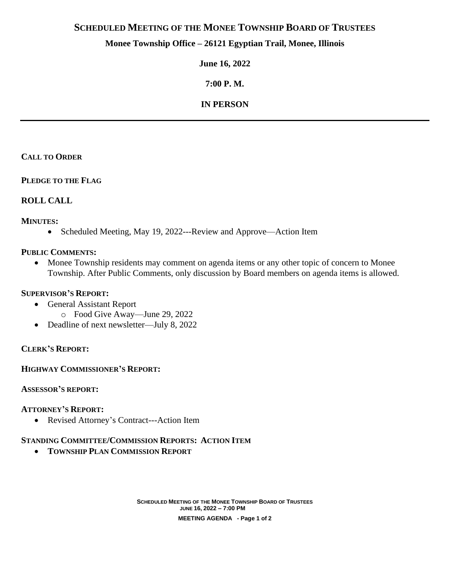# **SCHEDULED MEETING OF THE MONEE TOWNSHIP BOARD OF TRUSTEES**

## **Monee Township Office – 26121 Egyptian Trail, Monee, Illinois**

**June 16, 2022**

**7:00 P. M.**

# **IN PERSON**

### **CALL TO ORDER**

**PLEDGE TO THE FLAG**

### **ROLL CALL**

#### **MINUTES:**

• Scheduled Meeting, May 19, 2022---Review and Approve—Action Item

#### **PUBLIC COMMENTS:**

• Monee Township residents may comment on agenda items or any other topic of concern to Monee Township. After Public Comments, only discussion by Board members on agenda items is allowed.

#### **SUPERVISOR'S REPORT:**

- General Assistant Report
	- o Food Give Away—June 29, 2022
- Deadline of next newsletter—July 8, 2022

#### **CLERK'S REPORT:**

#### **HIGHWAY COMMISSIONER'S REPORT:**

#### **ASSESSOR'S REPORT:**

#### **ATTORNEY'S REPORT:**

• Revised Attorney's Contract---Action Item

# **STANDING COMMITTEE/COMMISSION REPORTS: ACTION ITEM**

• **TOWNSHIP PLAN COMMISSION REPORT**

**SCHEDULED MEETING OF THE MONEE TOWNSHIP BOARD OF TRUSTEES JUNE 16, 2022 – 7:00 PM**

**MEETING AGENDA - Page 1 of 2**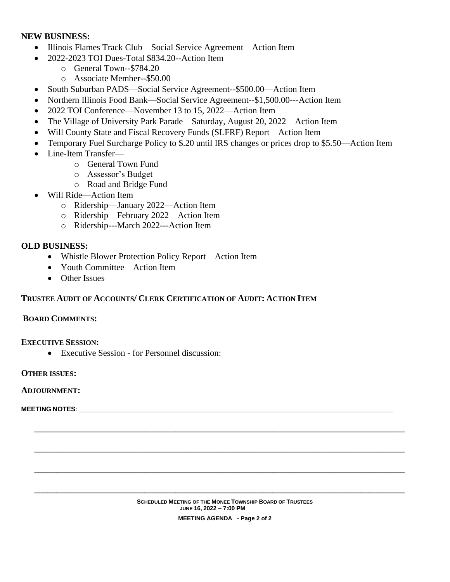### **NEW BUSINESS:**

- Illinois Flames Track Club—Social Service Agreement—Action Item
- 2022-2023 TOI Dues-Total \$834.20--Action Item
	- o General Town--\$784.20
		- o Associate Member--\$50.00
- South Suburban PADS—Social Service Agreement--\$500.00—Action Item
- Northern Illinois Food Bank—Social Service Agreement--\$1,500.00---Action Item
- 2022 TOI Conference—November 13 to 15, 2022—Action Item
- The Village of University Park Parade—Saturday, August 20, 2022—Action Item
- Will County State and Fiscal Recovery Funds (SLFRF) Report—Action Item
- Temporary Fuel Surcharge Policy to \$.20 until IRS changes or prices drop to \$5.50—Action Item
- Line-Item Transfer
	- o General Town Fund
	- o Assessor's Budget
	- o Road and Bridge Fund
- Will Ride—Action Item
	- o Ridership—January 2022—Action Item
	- o Ridership—February 2022—Action Item
	- o Ridership---March 2022---Action Item

## **OLD BUSINESS:**

- Whistle Blower Protection Policy Report—Action Item
- Youth Committee—Action Item
- Other Issues

## **TRUSTEE AUDIT OF ACCOUNTS/ CLERK CERTIFICATION OF AUDIT: ACTION ITEM**

#### **BOARD COMMENTS:**

**EXECUTIVE SESSION:**

• Executive Session - for Personnel discussion:

#### **OTHER ISSUES:**

#### **ADJOURNMENT:**

**MEETING NOTES**: \_\_\_\_\_\_\_\_\_\_\_\_\_\_\_\_\_\_\_\_\_\_\_\_\_\_\_\_\_\_\_\_\_\_\_\_\_\_\_\_\_\_\_\_\_\_\_\_\_\_\_\_\_\_\_\_\_\_\_\_\_\_\_\_\_\_\_\_\_\_\_\_\_\_\_\_\_\_\_\_\_\_\_\_\_\_\_\_\_\_\_\_\_\_\_

**\_\_\_\_\_\_\_\_\_\_\_\_\_\_\_\_\_\_\_\_\_\_\_\_\_\_\_\_\_\_\_\_\_\_\_\_\_\_\_\_\_\_\_\_\_\_\_\_\_\_\_\_\_\_\_\_\_\_\_\_\_\_\_\_\_\_\_\_\_\_\_\_\_\_\_\_\_\_\_\_\_\_\_\_**

**\_\_\_\_\_\_\_\_\_\_\_\_\_\_\_\_\_\_\_\_\_\_\_\_\_\_\_\_\_\_\_\_\_\_\_\_\_\_\_\_\_\_\_\_\_\_\_\_\_\_\_\_\_\_\_\_\_\_\_\_\_\_\_\_\_\_\_\_\_\_\_\_\_\_\_\_\_\_\_\_\_\_\_\_**

**\_\_\_\_\_\_\_\_\_\_\_\_\_\_\_\_\_\_\_\_\_\_\_\_\_\_\_\_\_\_\_\_\_\_\_\_\_\_\_\_\_\_\_\_\_\_\_\_\_\_\_\_\_\_\_\_\_\_\_\_\_\_\_\_\_\_\_\_\_\_\_\_\_\_\_\_\_\_\_\_\_\_\_\_**

**\_\_\_\_\_\_\_\_\_\_\_\_\_\_\_\_\_\_\_\_\_\_\_\_\_\_\_\_\_\_\_\_\_\_\_\_\_\_\_\_\_\_\_\_\_\_\_\_\_\_\_\_\_\_\_\_\_\_\_\_\_\_\_\_\_\_\_\_\_\_\_\_\_\_\_\_\_\_\_\_\_\_\_\_**

**MEETING AGENDA - Page 2 of 2**